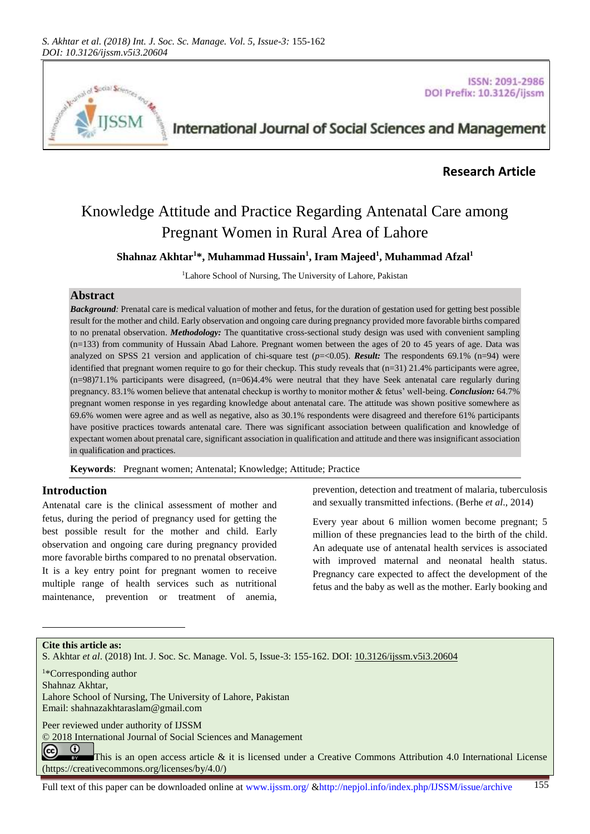

**ISSN: 2091-2986** DOI Prefix: 10.3126/ijssm

## International Journal of Social Sciences and Management

## **Research Article**

# Knowledge Attitude and Practice Regarding Antenatal Care among Pregnant Women in Rural Area of Lahore

## **Shahnaz Akhtar<sup>1</sup>\*, Muhammad Hussain<sup>1</sup> , Iram Majeed<sup>1</sup> , Muhammad Afzal<sup>1</sup>**

<sup>1</sup>Lahore School of Nursing, The University of Lahore, Pakistan

## **Abstract**

*Background*: Prenatal care is medical valuation of mother and fetus, for the duration of gestation used for getting best possible result for the mother and child. Early observation and ongoing care during pregnancy provided more favorable births compared to no prenatal observation. *Methodology:* The quantitative cross-sectional study design was used with convenient sampling (n=133) from community of Hussain Abad Lahore. Pregnant women between the ages of 20 to 45 years of age. Data was analyzed on SPSS 21 version and application of chi-square test ( $p = <0.05$ ). **Result:** The respondents 69.1% (n=94) were identified that pregnant women require to go for their checkup. This study reveals that (n=31) 21.4% participants were agree,  $(n=98)71.1\%$  participants were disagreed,  $(n=06)4.4\%$  were neutral that they have Seek antenatal care regularly during pregnancy. 83.1% women believe that antenatal checkup is worthy to monitor mother & fetus' well-being. *Conclusion:* 64.7% pregnant women response in yes regarding knowledge about antenatal care. The attitude was shown positive somewhere as 69.6% women were agree and as well as negative, also as 30.1% respondents were disagreed and therefore 61% participants have positive practices towards antenatal care. There was significant association between qualification and knowledge of expectant women about prenatal care, significant association in qualification and attitude and there was insignificant association in qualification and practices.

**Keywords**: Pregnant women; Antenatal; Knowledge; Attitude; Practice

## **Introduction**

Antenatal care is the clinical assessment of mother and fetus, during the period of pregnancy used for getting the best possible result for the mother and child. Early observation and ongoing care during pregnancy provided more favorable births compared to no prenatal observation. It is a key entry point for pregnant women to receive multiple range of health services such as nutritional maintenance, prevention or treatment of anemia,

prevention, detection and treatment of malaria, tuberculosis and sexually transmitted infections. (Berhe *et al*., 2014)

Every year about 6 million women become pregnant; 5 million of these pregnancies lead to the birth of the child. An adequate use of antenatal health services is associated with improved maternal and neonatal health status. Pregnancy care expected to affect the development of the fetus and the baby as well as the mother. Early booking and

**Cite this article as:**

l

S. Akhtar *et al*. (2018) Int. J. Soc. Sc. Manage. Vol. 5, Issue-3: 155-162. DOI: [10.3126/ijssm.v5i3.20604](http://dx.doi.org/10.3126/ijssm.v5i3.20604)

<sup>1</sup>\*Corresponding author Shahnaz Akhtar, Lahore School of Nursing, The University of Lahore, Pakistan Email[: shahnazakhtaraslam@gmail.com](mailto:shahnazakhtaraslam@gmail.com)

Peer reviewed under authority of IJSSM

© 2018 International Journal of Social Sciences and Management

 $\odot$ (cc) This is an open access article & it is licensed under a Creative Commons Attribution 4.0 International License [\(https://creativecommons.org/licenses/by/4.0/\)](https://creativecommons.org/licenses/by/4.0/)

Full text of this paper can be downloaded online at www.ijssm.org/ &http://nepjol.info/index.php/IJSSM/issue/archive  $\frac{1}{155}$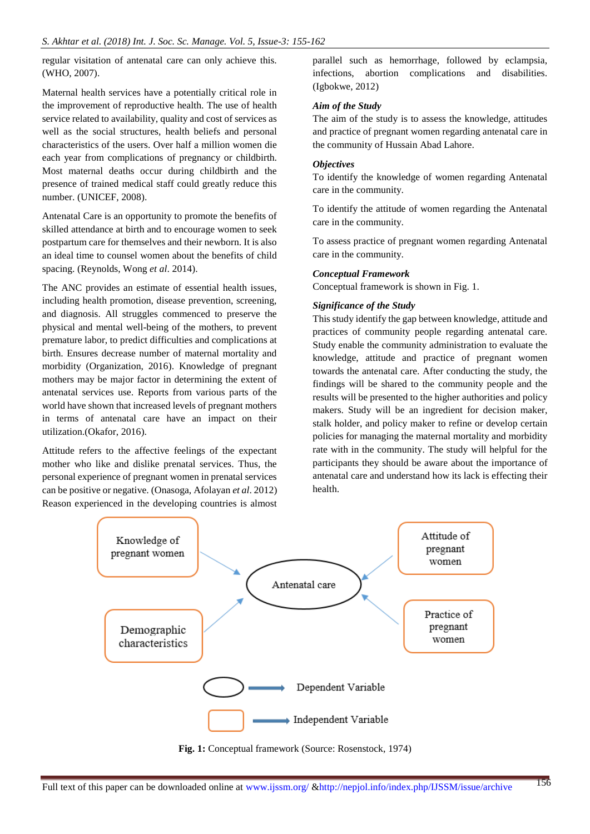regular visitation of antenatal care can only achieve this. (WHO, 2007).

Maternal health services have a potentially critical role in the improvement of reproductive health. The use of health service related to availability, quality and cost of services as well as the social structures, health beliefs and personal characteristics of the users. Over half a million women die each year from complications of pregnancy or childbirth. Most maternal deaths occur during childbirth and the presence of trained medical staff could greatly reduce this number. (UNICEF, 2008).

Antenatal Care is an opportunity to promote the benefits of skilled attendance at birth and to encourage women to seek postpartum care for themselves and their newborn. It is also an ideal time to counsel women about the benefits of child spacing. (Reynolds, Wong *et al*. 2014).

The ANC provides an estimate of essential health issues, including health promotion, disease prevention, screening, and diagnosis. All struggles commenced to preserve the physical and mental well-being of the mothers, to prevent premature labor, to predict difficulties and complications at birth. Ensures decrease number of maternal mortality and morbidity (Organization, 2016). Knowledge of pregnant mothers may be major factor in determining the extent of antenatal services use. Reports from various parts of the world have shown that increased levels of pregnant mothers in terms of antenatal care have an impact on their utilization.(Okafor, 2016).

Attitude refers to the affective feelings of the expectant mother who like and dislike prenatal services. Thus, the personal experience of pregnant women in prenatal services can be positive or negative. (Onasoga, Afolayan *et al*. 2012) Reason experienced in the developing countries is almost

parallel such as hemorrhage, followed by eclampsia, infections, abortion complications and disabilities. (Igbokwe, 2012)

#### *Aim of the Study*

The aim of the study is to assess the knowledge, attitudes and practice of pregnant women regarding antenatal care in the community of Hussain Abad Lahore.

#### *Objectives*

To identify the knowledge of women regarding Antenatal care in the community.

To identify the attitude of women regarding the Antenatal care in the community.

To assess practice of pregnant women regarding Antenatal care in the community.

#### *Conceptual Framework*

Conceptual framework is shown in Fig. 1.

#### *Significance of the Study*

This study identify the gap between knowledge, attitude and practices of community people regarding antenatal care. Study enable the community administration to evaluate the knowledge, attitude and practice of pregnant women towards the antenatal care. After conducting the study, the findings will be shared to the community people and the results will be presented to the higher authorities and policy makers. Study will be an ingredient for decision maker, stalk holder, and policy maker to refine or develop certain policies for managing the maternal mortality and morbidity rate with in the community. The study will helpful for the participants they should be aware about the importance of antenatal care and understand how its lack is effecting their health.



**Fig. 1:** Conceptual framework (Source: Rosenstock, 1974)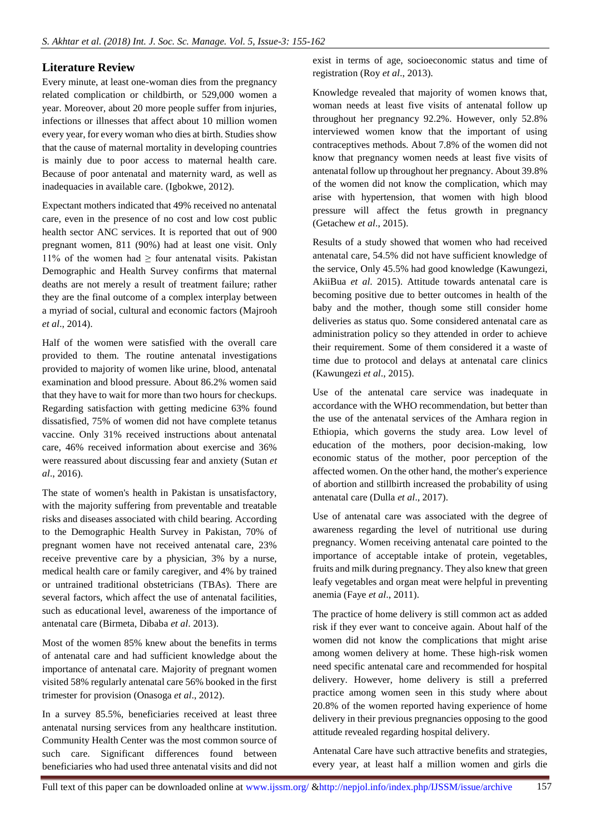## **Literature Review**

Every minute, at least one-woman dies from the pregnancy related complication or childbirth, or 529,000 women a year. Moreover, about 20 more people suffer from injuries, infections or illnesses that affect about 10 million women every year, for every woman who dies at birth. Studies show that the cause of maternal mortality in developing countries is mainly due to poor access to maternal health care. Because of poor antenatal and maternity ward, as well as inadequacies in available care. (Igbokwe, 2012).

Expectant mothers indicated that 49% received no antenatal care, even in the presence of no cost and low cost public health sector ANC services. It is reported that out of 900 pregnant women, 811 (90%) had at least one visit. Only 11% of the women had  $\geq$  four antenatal visits. Pakistan Demographic and Health Survey confirms that maternal deaths are not merely a result of treatment failure; rather they are the final outcome of a complex interplay between a myriad of social, cultural and economic factors (Majrooh *et al*., 2014).

Half of the women were satisfied with the overall care provided to them. The routine antenatal investigations provided to majority of women like urine, blood, antenatal examination and blood pressure. About 86.2% women said that they have to wait for more than two hours for checkups. Regarding satisfaction with getting medicine 63% found dissatisfied, 75% of women did not have complete tetanus vaccine. Only 31% received instructions about antenatal care, 46% received information about exercise and 36% were reassured about discussing fear and anxiety (Sutan *et al*., 2016).

The state of women's health in Pakistan is unsatisfactory, with the majority suffering from preventable and treatable risks and diseases associated with child bearing. According to the Demographic Health Survey in Pakistan, 70% of pregnant women have not received antenatal care, 23% receive preventive care by a physician, 3% by a nurse, medical health care or family caregiver, and 4% by trained or untrained traditional obstetricians (TBAs). There are several factors, which affect the use of antenatal facilities, such as educational level, awareness of the importance of antenatal care (Birmeta, Dibaba *et al*. 2013).

Most of the women 85% knew about the benefits in terms of antenatal care and had sufficient knowledge about the importance of antenatal care. Majority of pregnant women visited 58% regularly antenatal care 56% booked in the first trimester for provision (Onasoga *et al*., 2012).

In a survey 85.5%, beneficiaries received at least three antenatal nursing services from any healthcare institution. Community Health Center was the most common source of such care. Significant differences found between beneficiaries who had used three antenatal visits and did not

exist in terms of age, socioeconomic status and time of registration (Roy *et al*., 2013).

Knowledge revealed that majority of women knows that, woman needs at least five visits of antenatal follow up throughout her pregnancy 92.2%. However, only 52.8% interviewed women know that the important of using contraceptives methods. About 7.8% of the women did not know that pregnancy women needs at least five visits of antenatal follow up throughout her pregnancy. About 39.8% of the women did not know the complication, which may arise with hypertension, that women with high blood pressure will affect the fetus growth in pregnancy (Getachew *et al*., 2015).

Results of a study showed that women who had received antenatal care, 54.5% did not have sufficient knowledge of the service, Only 45.5% had good knowledge (Kawungezi, AkiiBua *et al*. 2015). Attitude towards antenatal care is becoming positive due to better outcomes in health of the baby and the mother, though some still consider home deliveries as status quo. Some considered antenatal care as administration policy so they attended in order to achieve their requirement. Some of them considered it a waste of time due to protocol and delays at antenatal care clinics (Kawungezi *et al*., 2015).

Use of the antenatal care service was inadequate in accordance with the WHO recommendation, but better than the use of the antenatal services of the Amhara region in Ethiopia, which governs the study area. Low level of education of the mothers, poor decision-making, low economic status of the mother, poor perception of the affected women. On the other hand, the mother's experience of abortion and stillbirth increased the probability of using antenatal care (Dulla *et al*., 2017).

Use of antenatal care was associated with the degree of awareness regarding the level of nutritional use during pregnancy. Women receiving antenatal care pointed to the importance of acceptable intake of protein, vegetables, fruits and milk during pregnancy. They also knew that green leafy vegetables and organ meat were helpful in preventing anemia (Faye *et al*., 2011).

The practice of home delivery is still common act as added risk if they ever want to conceive again. About half of the women did not know the complications that might arise among women delivery at home. These high-risk women need specific antenatal care and recommended for hospital delivery. However, home delivery is still a preferred practice among women seen in this study where about 20.8% of the women reported having experience of home delivery in their previous pregnancies opposing to the good attitude revealed regarding hospital delivery.

Antenatal Care have such attractive benefits and strategies, every year, at least half a million women and girls die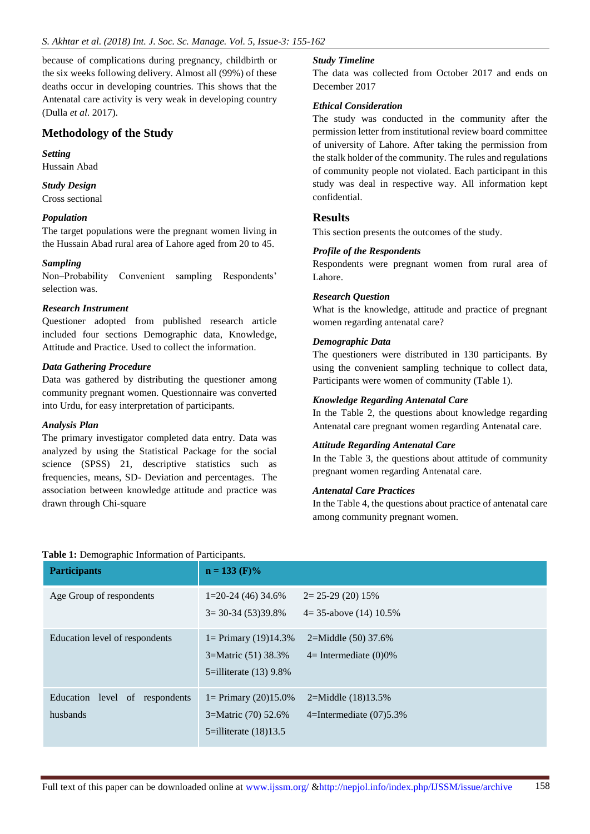because of complications during pregnancy, childbirth or the six weeks following delivery. Almost all (99%) of these deaths occur in developing countries. This shows that the Antenatal care activity is very weak in developing country (Dulla *et al*. 2017).

## **Methodology of the Study**

#### *Setting*

Hussain Abad

*Study Design*  Cross sectional

#### *Population*

The target populations were the pregnant women living in the Hussain Abad rural area of Lahore aged from 20 to 45.

#### *Sampling*

Non–Probability Convenient sampling Respondents' selection was.

#### *Research Instrument*

Questioner adopted from published research article included four sections Demographic data, Knowledge, Attitude and Practice. Used to collect the information.

#### *Data Gathering Procedure*

Data was gathered by distributing the questioner among community pregnant women. Questionnaire was converted into Urdu, for easy interpretation of participants.

#### *Analysis Plan*

The primary investigator completed data entry. Data was analyzed by using the Statistical Package for the social science (SPSS) 21, descriptive statistics such as frequencies, means, SD- Deviation and percentages. The association between knowledge attitude and practice was drawn through Chi-square

#### *Study Timeline*

The data was collected from October 2017 and ends on December 2017

#### *Ethical Consideration*

The study was conducted in the community after the permission letter from institutional review board committee of university of Lahore. After taking the permission from the stalk holder of the community. The rules and regulations of community people not violated. Each participant in this study was deal in respective way. All information kept confidential.

## **Results**

This section presents the outcomes of the study.

#### *Profile of the Respondents*

Respondents were pregnant women from rural area of Lahore.

#### *Research Question*

What is the knowledge, attitude and practice of pregnant women regarding antenatal care?

#### *Demographic Data*

The questioners were distributed in 130 participants. By using the convenient sampling technique to collect data, Participants were women of community (Table 1).

#### *Knowledge Regarding Antenatal Care*

In the Table 2, the questions about knowledge regarding Antenatal care pregnant women regarding Antenatal care.

#### *Attitude Regarding Antenatal Care*

In the Table 3, the questions about attitude of community pregnant women regarding Antenatal care.

#### *Antenatal Care Practices*

In the Table 4, the questions about practice of antenatal care among community pregnant women.

| <b>Participants</b>            | $n = 133$ (F)%              |                           |
|--------------------------------|-----------------------------|---------------------------|
| Age Group of respondents       | $1=20-24(46)34.6%$          | $2=25-29(20)15%$          |
|                                | $3 = 30 - 34(53)39.8%$      | $4=35$ -above (14) 10.5%  |
| Education level of respondents | 1 = Primary $(19)14.3%$     | 2=Middle $(50)$ 37.6%     |
|                                | 3=Matric (51) 38.3%         | $4=$ Intermediate (0)0%   |
|                                | $5$ =illiterate $(13)$ 9.8% |                           |
| Education level of respondents | 1 = Primary $(20)15.0%$     | 2=Middle $(18)13.5%$      |
| husbands                       | 3=Matric (70) 52.6%         | 4=Intermediate $(07)5.3%$ |
|                                | $5 =$ illiterate $(18)13.5$ |                           |

#### **Table 1:** Demographic Information of Participants.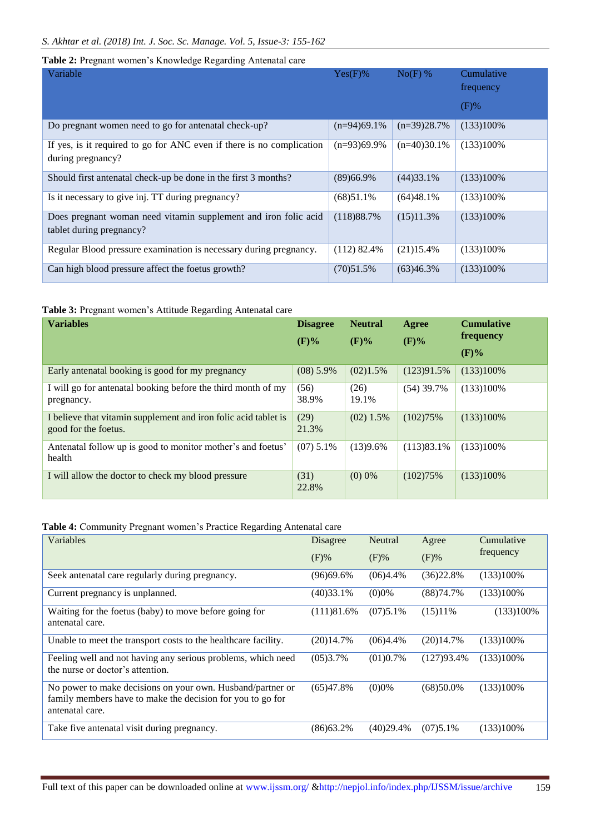#### **Table 2:** Pregnant women's Knowledge Regarding Antenatal care

| Variable                                                                                    | $Yes(F)\%$    | $No(F)$ %     | Cumulative<br>frequency |
|---------------------------------------------------------------------------------------------|---------------|---------------|-------------------------|
|                                                                                             |               |               | $(F)\%$                 |
| Do pregnant women need to go for antenatal check-up?                                        | $(n=94)69.1%$ | $(n=39)28.7%$ | $(133)100\%$            |
| If yes, is it required to go for ANC even if there is no complication<br>during pregnancy?  | $(n=93)69.9%$ | $(n=40)30.1%$ | (133)100%               |
| Should first antenatal check-up be done in the first 3 months?                              | (89)66.9%     | (44)33.1%     | $(133)100\%$            |
| Is it necessary to give inj. TT during pregnancy?                                           | (68)51.1%     | (64)48.1%     | (133)100%               |
| Does pregnant woman need vitamin supplement and iron folic acid<br>tablet during pregnancy? | (118)88.7%    | (15)11.3%     | (133)100%               |
| Regular Blood pressure examination is necessary during pregnancy.                           | $(112)$ 82.4% | (21)15.4%     | $(133)100\%$            |
| Can high blood pressure affect the foetus growth?                                           | (70)51.5%     | (63)46.3%     | $(133)100\%$            |

#### **Table 3:** Pregnant women's Attitude Regarding Antenatal care

| <b>Variables</b>                                                                        | <b>Disagree</b><br>$(F)\%$ | <b>Neutral</b><br>$(F)\%$ | Agree<br>$(F)\%$ | <b>Cumulative</b><br>frequency |
|-----------------------------------------------------------------------------------------|----------------------------|---------------------------|------------------|--------------------------------|
|                                                                                         |                            |                           |                  | $(F)\%$                        |
| Early antenatal booking is good for my pregnancy                                        | $(08)$ 5.9%                | (02)1.5%                  | (123)91.5%       | (133)100%                      |
| I will go for antenatal booking before the third month of my<br>pregnancy.              | (56)<br>38.9%              | (26)<br>19.1%             | $(54)$ 39.7%     | $(133)100\%$                   |
| I believe that vitamin supplement and iron folic acid tablet is<br>good for the foetus. | (29)<br>21.3%              | $(02)$ 1.5%               | (102)75%         | $(133)100\%$                   |
| Antenatal follow up is good to monitor mother's and foetus'<br>health                   | $(07)$ 5.1%                | (13)9.6%                  | (113)83.1%       | $(133)100\%$                   |
| I will allow the doctor to check my blood pressure                                      | (31)<br>22.8%              | $(0)$ 0%                  | (102)75%         | (133)100%                      |

## **Table 4:** Community Pregnant women's Practice Regarding Antenatal care

| Variables                                                                                                                                   | Disagree<br>$(F)\%$ | <b>Neutral</b><br>$(F)\%$ | Agree<br>$(F)\%$ | Cumulative<br>frequency |
|---------------------------------------------------------------------------------------------------------------------------------------------|---------------------|---------------------------|------------------|-------------------------|
| Seek antenatal care regularly during pregnancy.                                                                                             | (96)69.6%           | (06)4.4%                  | (36)22.8%        | $(133)100\%$            |
| Current pregnancy is unplanned.                                                                                                             | (40)33.1%           | $(0)0\%$                  | (88)74.7%        | (133)100%               |
| Waiting for the foetus (baby) to move before going for<br>antenatal care.                                                                   | (111)81.6%          | (07)5.1%                  | (15)11%          | (133)100%               |
| Unable to meet the transport costs to the healthcare facility.                                                                              | (20)14.7%           | (06)4.4%                  | (20)14.7%        | $(133)100\%$            |
| Feeling well and not having any serious problems, which need<br>the nurse or doctor's attention.                                            | (05)3.7%            | $(01)0.7\%$               | (127)93.4%       | (133)100%               |
| No power to make decisions on your own. Husband/partner or<br>family members have to make the decision for you to go for<br>antenatal care. | (65)47.8%           | (0)0%                     | $(68)50.0\%$     | $(133)100\%$            |
| Take five antenatal visit during pregnancy.                                                                                                 | (86)63.2%           | (40) 29.4%                | (07)5.1%         | $(133)100\%$            |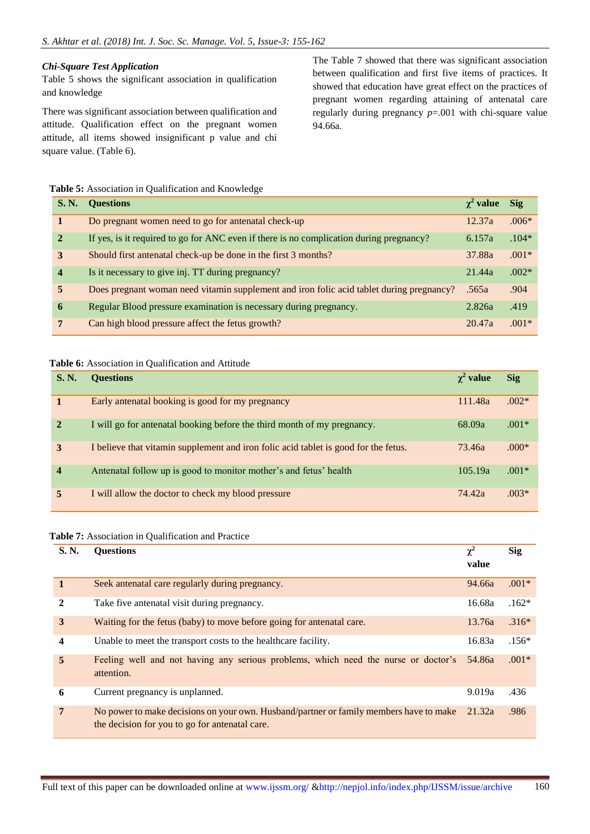#### *Chi-Square Test Application*

Table 5 shows the significant association in qualification and knowledge

There was significant association between qualification and attitude. Qualification effect on the pregnant women attitude, all items showed insignificant p value and chi square value. (Table 6).

The Table 7 showed that there was significant association between qualification and first five items of practices. It showed that education have great effect on the practices of pregnant women regarding attaining of antenatal care regularly during pregnancy *p*=.001 with chi-square value 94.66a.

**Table 5:** Association in Qualification and Knowledge

| S. N.                   | <b>Questions</b>                                                                         | $\gamma^2$ value | $\textbf{Si2}$ |
|-------------------------|------------------------------------------------------------------------------------------|------------------|----------------|
|                         | Do pregnant women need to go for antenatal check-up                                      | 12.37a           | $.006*$        |
| $\mathbf{2}$            | If yes, is it required to go for ANC even if there is no complication during pregnancy?  | 6.157a           | $.104*$        |
| 3                       | Should first antenatal check-up be done in the first 3 months?                           | 37.88a           | $.001*$        |
| $\overline{\mathbf{4}}$ | Is it necessary to give inj. TT during pregnancy?                                        | 21.44a           | $.002*$        |
| 5                       | Does pregnant woman need vitamin supplement and iron folic acid tablet during pregnancy? | .565a            | .904           |
| 6                       | Regular Blood pressure examination is necessary during pregnancy.                        | 2.826a           | .419           |
| 7                       | Can high blood pressure affect the fetus growth?                                         | 20.47a           | $.001*$        |

#### **Table 6:** Association in Qualification and Attitude

| S. N.       | <b>Ouestions</b>                                                                    | $\gamma^2$ value | <b>Sig</b> |
|-------------|-------------------------------------------------------------------------------------|------------------|------------|
|             | Early antenatal booking is good for my pregnancy                                    | 111.48a          | $.002*$    |
| $\mathbf 2$ | I will go for antenatal booking before the third month of my pregnancy.             | 68.09a           | $.001*$    |
| 3           | I believe that vitamin supplement and iron folic acid tablet is good for the fetus. | 73.46a           | $.000*$    |
| 4           | Antenatal follow up is good to monitor mother's and fetus' health                   | 105.19a          | $.001*$    |
| 5           | I will allow the doctor to check my blood pressure                                  | 74.42a           | $.003*$    |

#### **Table 7:** Association in Qualification and Practice

| S. N. | <b>Ouestions</b>                                                                                                                         | $\chi^2$<br>value | <b>Sig</b> |
|-------|------------------------------------------------------------------------------------------------------------------------------------------|-------------------|------------|
|       | Seek antenatal care regularly during pregnancy.                                                                                          | 94.66a            | $.001*$    |
| 2     | Take five antenatal visit during pregnancy.                                                                                              | 16.68a            | $.162*$    |
| 3     | Waiting for the fetus (baby) to move before going for antenatal care.                                                                    | 13.76a            | $.316*$    |
| 4     | Unable to meet the transport costs to the healthcare facility.                                                                           | 16.83a            | $.156*$    |
| 5     | Feeling well and not having any serious problems, which need the nurse or doctor's<br>attention.                                         | 54.86a            | $.001*$    |
| 6     | Current pregnancy is unplanned.                                                                                                          | 9.019a            | .436       |
| 7     | No power to make decisions on your own. Husband/partner or family members have to make<br>the decision for you to go for antenatal care. | 21.32a            | .986       |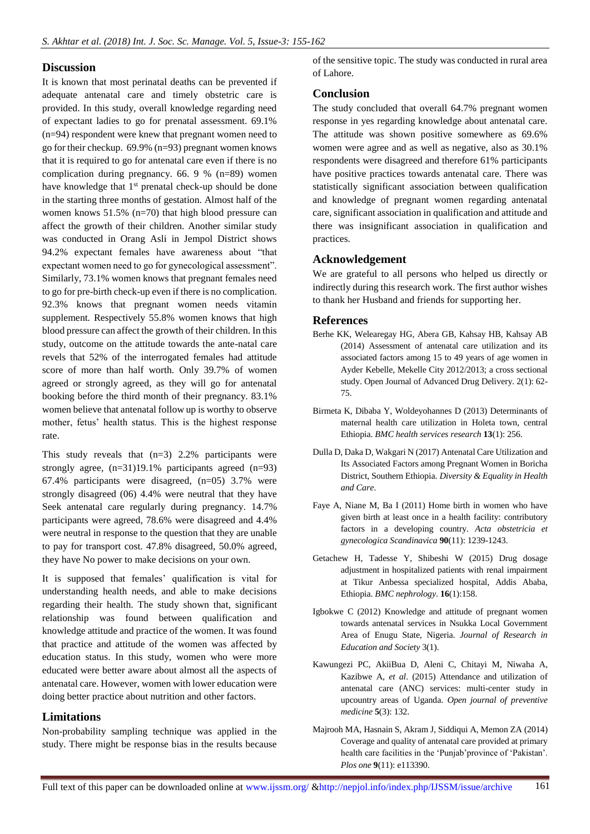## **Discussion**

It is known that most perinatal deaths can be prevented if adequate antenatal care and timely obstetric care is provided. In this study, overall knowledge regarding need of expectant ladies to go for prenatal assessment. 69.1% (n=94) respondent were knew that pregnant women need to go for their checkup. 69.9% (n=93) pregnant women knows that it is required to go for antenatal care even if there is no complication during pregnancy. 66. 9 % (n=89) women have knowledge that  $1<sup>st</sup>$  prenatal check-up should be done in the starting three months of gestation. Almost half of the women knows 51.5% (n=70) that high blood pressure can affect the growth of their children. Another similar study was conducted in Orang Asli in Jempol District shows 94.2% expectant females have awareness about "that expectant women need to go for gynecological assessment". Similarly, 73.1% women knows that pregnant females need to go for pre-birth check-up even if there is no complication. 92.3% knows that pregnant women needs vitamin supplement. Respectively 55.8% women knows that high blood pressure can affect the growth of their children. In this study, outcome on the attitude towards the ante-natal care revels that 52% of the interrogated females had attitude score of more than half worth. Only 39.7% of women agreed or strongly agreed, as they will go for antenatal booking before the third month of their pregnancy. 83.1% women believe that antenatal follow up is worthy to observe mother, fetus' health status. This is the highest response rate.

This study reveals that  $(n=3)$  2.2% participants were strongly agree, (n=31)19.1% participants agreed (n=93) 67.4% participants were disagreed, (n=05) 3.7% were strongly disagreed (06) 4.4% were neutral that they have Seek antenatal care regularly during pregnancy. 14.7% participants were agreed, 78.6% were disagreed and 4.4% were neutral in response to the question that they are unable to pay for transport cost. 47.8% disagreed, 50.0% agreed, they have No power to make decisions on your own.

It is supposed that females' qualification is vital for understanding health needs, and able to make decisions regarding their health. The study shown that, significant relationship was found between qualification and knowledge attitude and practice of the women. It was found that practice and attitude of the women was affected by education status. In this study, women who were more educated were better aware about almost all the aspects of antenatal care. However, women with lower education were doing better practice about nutrition and other factors.

## **Limitations**

Non-probability sampling technique was applied in the study. There might be response bias in the results because

of the sensitive topic. The study was conducted in rural area of Lahore.

## **Conclusion**

The study concluded that overall 64.7% pregnant women response in yes regarding knowledge about antenatal care. The attitude was shown positive somewhere as 69.6% women were agree and as well as negative, also as 30.1% respondents were disagreed and therefore 61% participants have positive practices towards antenatal care. There was statistically significant association between qualification and knowledge of pregnant women regarding antenatal care, significant association in qualification and attitude and there was insignificant association in qualification and practices.

## **Acknowledgement**

We are grateful to all persons who helped us directly or indirectly during this research work. The first author wishes to thank her Husband and friends for supporting her.

## **References**

- Berhe KK, Welearegay HG, Abera GB, Kahsay HB, Kahsay AB (2014) Assessment of antenatal care utilization and its associated factors among 15 to 49 years of age women in Ayder Kebelle, Mekelle City 2012/2013; a cross sectional study. Open Journal of Advanced Drug Delivery. 2(1): 62- 75.
- Birmeta K, Dibaba Y, Woldeyohannes D (2013) Determinants of maternal health care utilization in Holeta town, central Ethiopia. *BMC health services research* **13**(1): 256.
- Dulla D, Daka D, Wakgari N (2017) Antenatal Care Utilization and Its Associated Factors among Pregnant Women in Boricha District, Southern Ethiopia. *Diversity & Equality in Health and Care*.
- Faye A, Niane M, Ba I (2011) Home birth in women who have given birth at least once in a health facility: contributory factors in a developing country. *Acta obstetricia et gynecologica Scandinavica* **90**(11): 1239-1243.
- Getachew H, Tadesse Y, Shibeshi W (2015) Drug dosage adjustment in hospitalized patients with renal impairment at Tikur Anbessa specialized hospital, Addis Ababa, Ethiopia. *BMC nephrology*. **16**(1):158.
- Igbokwe C (2012) Knowledge and attitude of pregnant women towards antenatal services in Nsukka Local Government Area of Enugu State, Nigeria. *Journal of Research in Education and Society* 3(1).
- Kawungezi PC, AkiiBua D, Aleni C, Chitayi M, Niwaha A, Kazibwe A, *et al*. (2015) Attendance and utilization of antenatal care (ANC) services: multi-center study in upcountry areas of Uganda. *Open journal of preventive medicine* **5**(3): 132.
- Majrooh MA, Hasnain S, Akram J, Siddiqui A, Memon ZA (2014) Coverage and quality of antenatal care provided at primary health care facilities in the 'Punjab'province of 'Pakistan'. *Plos one* **9**(11): e113390.